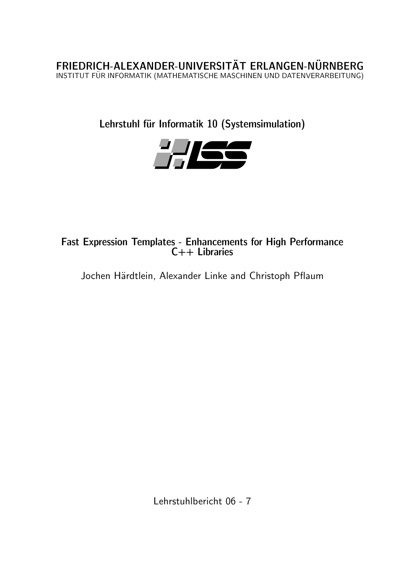FRIEDRICH-ALEXANDER-UNIVERSITÄT ERLANGEN-NÜRNBERG INSTITUT FÜR INFORMATIK (MATHEMATISCHE MASCHINEN UND DATENVERARBEITUNG)

Lehrstuhl für Informatik 10 (Systemsimulation)



Fast Expression Templates - Enhancements for High Performance C++ Libraries

Jochen Härdtlein, Alexander Linke and Christoph Pflaum

Lehrstuhlbericht 06 - 7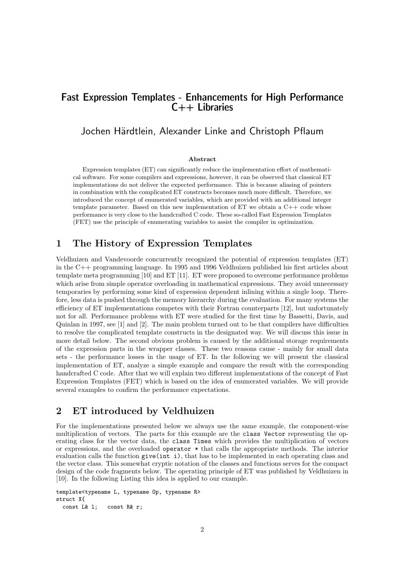# Fast Expression Templates - Enhancements for High Performance C++ Libraries

# Jochen Härdtlein, Alexander Linke and Christoph Pflaum

#### Abstract

Expression templates (ET) can significantly reduce the implementation effort of mathematical software. For some compilers and expressions, however, it can be observed that classical ET implementations do not deliver the expected performance. This is because aliasing of pointers in combination with the complicated ET constructs becomes much more difficult. Therefore, we introduced the concept of enumerated variables, which are provided with an additional integer template parameter. Based on this new implementation of ET we obtain a C++ code whose performance is very close to the handcrafted C code. These so-called Fast Expression Templates (FET) use the principle of enumerating variables to assist the compiler in optimization.

# 1 The History of Expression Templates

Veldhuizen and Vandevoorde concurrently recognized the potential of expression templates (ET) in the C++ programming language. In 1995 and 1996 Veldhuizen published his first articles about template meta programming [\[10\]](#page-7-0) and ET [\[11\]](#page-7-1). ET were proposed to overcome performance problems which arise from simple operator overloading in mathematical expressions. They avoid unnecessary temporaries by performing some kind of expression dependent inlining within a single loop. Therefore, less data is pushed through the memory hierarchy during the evaluation. For many systems the efficiency of ET implementations competes with their Fortran counterparts [\[12\]](#page-7-2), but unfortunately not for all. Performance problems with ET were studied for the first time by Bassetti, Davis, and Quinlan in 1997, see [\[1\]](#page-7-3) and [\[2\]](#page-7-4). The main problem turned out to be that compilers have difficulties to resolve the complicated template constructs in the designated way. We will discuss this issue in more detail below. The second obvious problem is caused by the additional storage requirements of the expression parts in the wrapper classes. These two reasons cause - mainly for small data sets - the performance losses in the usage of ET. In the following we will present the classical implementation of ET, analyze a simple example and compare the result with the corresponding handcrafted C code. After that we will explain two different implementations of the concept of Fast Expression Templates (FET) which is based on the idea of enumerated variables. We will provide several examples to confirm the performance expectations.

# 2 ET introduced by Veldhuizen

For the implementations presented below we always use the same example, the component-wise multiplication of vectors. The parts for this example are the class Vector representing the operating class for the vector data, the class Times which provides the multiplication of vectors or expressions, and the overloaded operator \* that calls the appropriate methods. The interior evaluation calls the function give(int i), that has to be implemented in each operating class and the vector class. This somewhat cryptic notation of the classes and functions serves for the compact design of the code fragments below. The operating principle of ET was published by Veldhuizen in [\[10\]](#page-7-0). In the following Listing this idea is applied to our example.

```
template<typename L, typename Op, typename R>
struct X{
  const L& l; const R& r;
```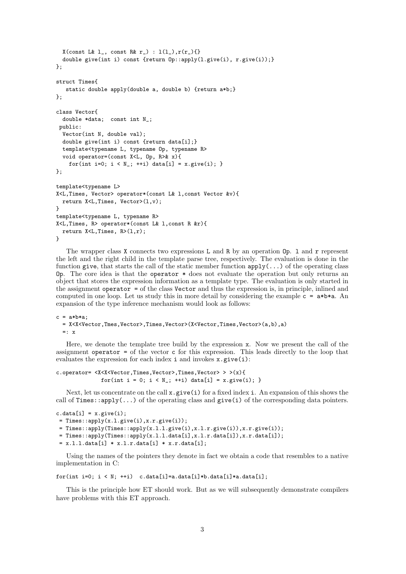```
X(const L& 1, const R& r<sub>1</sub>) : 1(1<sub>1</sub>), r(r_1){}
  double give(int i) const {return Op::apply(l.give(i), r.give(i));}
};
struct Times{
   static double apply(double a, double b) {return a*b;}
};
class Vector{
  double *data; const int N_;
 public:
  Vector(int N, double val);
  double give(int i) const {return data[i];}
  template<typename L, typename Op, typename R>
  void operator=(const X<L, Op, R>& x){
    for(int i=0; i < N_; ++i) data[i] = x.give(i); }
\ddot{\ }:
template<typename L>
X<L,Times, Vector> operator*(const L& l,const Vector &v){
  return X<L,Times, Vector>(l,v);
}
template<typename L, typename R>
X<L,Times, R> operator*(const L& l,const R &r){
  return X < L, Times, R > (1, r);
}
```
The wrapper class X connects two expressions L and R by an operation  $\mathbb{O}_p$ . 1 and r represent the left and the right child in the template parse tree, respectively. The evaluation is done in the function give, that starts the call of the static member function  $\text{apply}(\ldots)$  of the operating class Op. The core idea is that the operator \* does not evaluate the operation but only returns an object that stores the expression information as a template type. The evaluation is only started in the assignment operator = of the class Vector and thus the expression is, in principle, inlined and computed in one loop. Let us study this in more detail by considering the example  $c = a * b * a$ . An expansion of the type inference mechanism would look as follows:

```
c = a * b * a;= X<X<Vector,Tmes,Vector>,Times,Vector>(X<Vector,Times,Vector>(a,b),a)
  =: \bar{x}
```
Here, we denote the template tree build by the expression x. Now we present the call of the assignment operator = of the vector c for this expression. This leads directly to the loop that evaluates the expression for each index  $i$  and invokes  $x$ .give $(i)$ :

```
c.operator= <X<X<Vector,Times,Vector>,Times,Vector> > >(x){
             for(int i = 0; i < N_; ++i) data[i] = x.give(i);
```
Next, let us concentrate on the call  $x$ .give(i) for a fixed index i. An expansion of this shows the call of  $\text{Times:apply}(\ldots)$  of the operating class and  $\text{give}(i)$  of the corresponding data pointers.

```
c.data[i] = x.give(i);= Times::apply(x.l.give(i),x.r.give(i));
= Times::apply(Times::apply(x.l.l.give(i),x.l.r.give(i)),x.r.give(i));
= Times::apply(Times::apply(x.l.l.data[i],x.l.r.data[i]),x.r.data[i]);
```

```
= x.l.l.data[i] * x.l.r.data[i] * x.r.data[i];
```
Using the names of the pointers they denote in fact we obtain a code that resembles to a native implementation in C:

for(int i=0;  $i \lt N$ ; ++i) c.data[i]=a.data[i]\*b.data[i]\*a.data[i];

This is the principle how ET should work. But as we will subsequently demonstrate compilers have problems with this ET approach.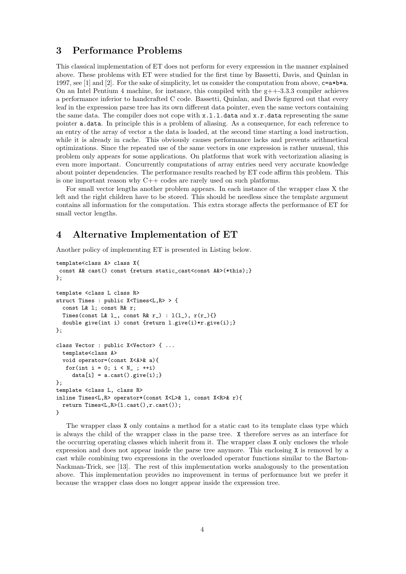# 3 Performance Problems

This classical implementation of ET does not perform for every expression in the manner explained above. These problems with ET were studied for the first time by Bassetti, Davis, and Quinlan in 1997, see [\[1\]](#page-7-3) and [\[2\]](#page-7-4). For the sake of simplicity, let us consider the computation from above,  $c = a * b * a$ . On an Intel Pentium 4 machine, for instance, this compiled with the  $g_{+}+3.3.3$  compiler achieves a performance inferior to handcrafted C code. Bassetti, Quinlan, and Davis figured out that every leaf in the expression parse tree has its own different data pointer, even the same vectors containing the same data. The compiler does not cope with  $x.l.l.l.data$  and  $x.r.data$  representing the same pointer a.data. In principle this is a problem of aliasing. As a consequence, for each reference to an entry of the array of vector a the data is loaded, at the second time starting a load instruction, while it is already in cache. This obviously causes performance lacks and prevents arithmetical optimizations. Since the repeated use of the same vectors in one expression is rather unusual, this problem only appears for some applications. On platforms that work with vectorization aliasing is even more important. Concurrently computations of array entries need very accurate knowledge about pointer dependencies. The performance results reached by ET code affirm this problem. This is one important reason why C++ codes are rarely used on such platforms.

For small vector lengths another problem appears. In each instance of the wrapper class X the left and the right children have to be stored. This should be needless since the template argument contains all information for the computation. This extra storage affects the performance of ET for small vector lengths.

### 4 Alternative Implementation of ET

Another policy of implementing ET is presented in Listing below.

```
template<class A> class X{
const A& cast() const {return static_cast<const A&>(*this);}
};
template <class L class R>
struct Times : public X<Times<L,R> > {
  const L& l; const R& r;
  Times(const L& 1_, const R& r_) : l(l_-), r(r_-)\double give(int i) const {return l.give(i)*r.give(i);}
};
class Vector : public X<Vector> { ...
  template<class A>
  void operator=(const X<A>& a){
   for(int i = 0; i < N_{-}; ++i)
     data[i] = a.cast().give(i);};
template <class L, class R>
inline Times<L,R> operator*(const X<L>& l, const X<R>& r){
  return Times<L,R>(l.cast(),r.cast());
}
```
The wrapper class X only contains a method for a static cast to its template class type which is always the child of the wrapper class in the parse tree. X therefore serves as an interface for the occurring operating classes which inherit from it. The wrapper class X only encloses the whole expression and does not appear inside the parse tree anymore. This enclosing X is removed by a cast while combining two expressions in the overloaded operator functions similar to the Barton-Nackman-Trick, see [\[13\]](#page-7-5). The rest of this implementation works analogously to the presentation above. This implementation provides no improvement in terms of performance but we prefer it because the wrapper class does no longer appear inside the expression tree.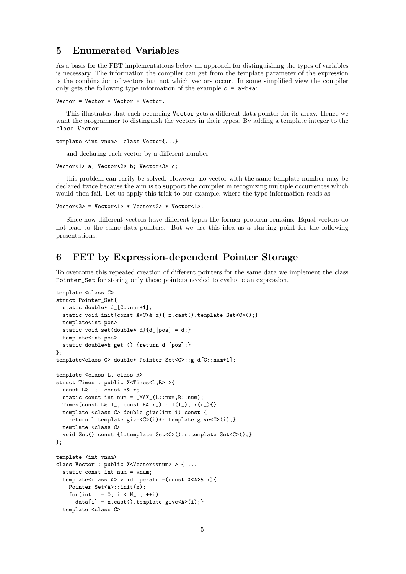### 5 Enumerated Variables

As a basis for the FET implementations below an approach for distinguishing the types of variables is necessary. The information the compiler can get from the template parameter of the expression is the combination of vectors but not which vectors occur. In some simplified view the compiler only gets the following type information of the example  $c = a * b * a$ :

```
Vector = Vector * Vector * Vector.
```
This illustrates that each occurring Vector gets a different data pointer for its array. Hence we want the programmer to distinguish the vectors in their types. By adding a template integer to the class Vector

```
template <int vnum> class Vector{...}
```
and declaring each vector by a different number

```
Vector<1> a; Vector<2> b; Vector<3> c;
```
this problem can easily be solved. However, no vector with the same template number may be declared twice because the aim is to support the compiler in recognizing multiple occurrences which would then fail. Let us apply this trick to our example, where the type information reads as

```
Vector <3> = Vector <1> * Vector <2> * Vector <1>.
```
Since now different vectors have different types the former problem remains. Equal vectors do not lead to the same data pointers. But we use this idea as a starting point for the following presentations.

### 6 FET by Expression-dependent Pointer Storage

To overcome this repeated creation of different pointers for the same data we implement the class Pointer\_Set for storing only those pointers needed to evaluate an expression.

```
template <class C>
struct Pointer_Set{
 static double* d_[C::num+1];
 static void init(const X<C>& x){ x.cast().template Set<C>();}
 template<int pos>
  static void set(double* d){d_[pos] = d;}
 template<int pos>
 static double*& get () {return d_[pos];}
};
template<class C> double* Pointer_Set<C>::g_d[C::num+1];
template <class L, class R>
struct Times : public X<Times<L,R> >{
  const L& l; const R& r;
  static const int num = _MAX_(L::num, R::num);
  Times(const L& 1_, const R& r_) : l(l_-), r(r_-){}
  template <class C> double give(int i) const {
   return l.template give<C>(i)*r.template give<C>(i);}
  template <class C>
  void Set() const {1.template Set<C>();r.template Set<C>();}
};
template <int vnum>
class Vector : public X<Vector<vnum> > { ...
  static const int num = vnum;
  template<class A> void operator=(const X<A>& x){
   Pointer_Set<A>::init(x);
   for(int i = 0; i < N_{-}; ++i)
      data[i] = x.cast() .template give <A>(i);template <class C>
```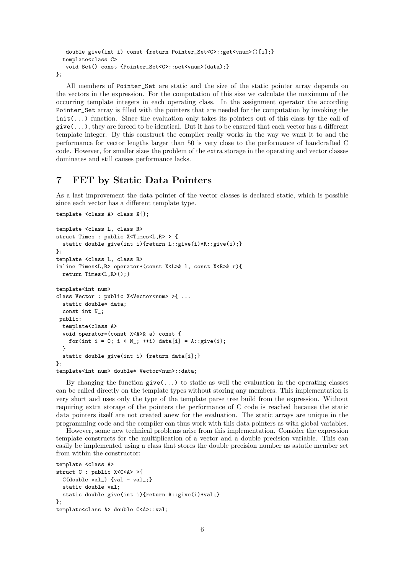```
double give(int i) const {return Pointer_Set<C>::get<vnum>()[i];}
  template<class C>
   void Set() const {Pointer_Set<C>::set<vnum>(data);}
};
```
All members of Pointer\_Set are static and the size of the static pointer array depends on the vectors in the expression. For the computation of this size we calculate the maximum of the occurring template integers in each operating class. In the assignment operator the according Pointer\_Set array is filled with the pointers that are needed for the computation by invoking the  $init(...)$  function. Since the evaluation only takes its pointers out of this class by the call of  $give(...),$  they are forced to be identical. But it has to be ensured that each vector has a different template integer. By this construct the compiler really works in the way we want it to and the performance for vector lengths larger than 50 is very close to the performance of handcrafted C code. However, for smaller sizes the problem of the extra storage in the operating and vector classes dominates and still causes performance lacks.

#### 7 FET by Static Data Pointers

As a last improvement the data pointer of the vector classes is declared static, which is possible since each vector has a different template type.

```
template <class A> class X{};
template <class L, class R>
struct Times : public X<Times<L,R> > {
  static double give(int i){return L::give(i)*R::give(i);}
};
template <class L, class R>
inline Times<L,R> operator*(const X<L>& l, const X<R>& r){
 return Times<L,R>();}
template<int num>
class Vector : public X<Vector<num> >{ ...
  static double* data;
  const int N_;
public:
  template<class A>
  void operator=(const X<A>& a) const {
    for(int i = 0; i < N_; ++i) data[i] = A::give(i);
  }
  static double give(int i) {return data[i];}
};
template<int num> double* Vector<num>::data;
```
By changing the function  $give(\ldots)$  to static as well the evaluation in the operating classes can be called directly on the template types without storing any members. This implementation is very short and uses only the type of the template parse tree build from the expression. Without requiring extra storage of the pointers the performance of C code is reached because the static data pointers itself are not created anew for the evaluation. The static arrays are unique in the programming code and the compiler can thus work with this data pointers as with global variables.

However, some new technical problems arise from this implementation. Consider the expression template constructs for the multiplication of a vector and a double precision variable. This can easily be implemented using a class that stores the double precision number as astatic member set from within the constructor:

```
template <class A>
struct C : public X<C<A> >{
  C(double val_) \{val = val_; \}static double val;
  static double give(int i){return A::give(i)*val;}
};
template<class A> double C<A>::val;
```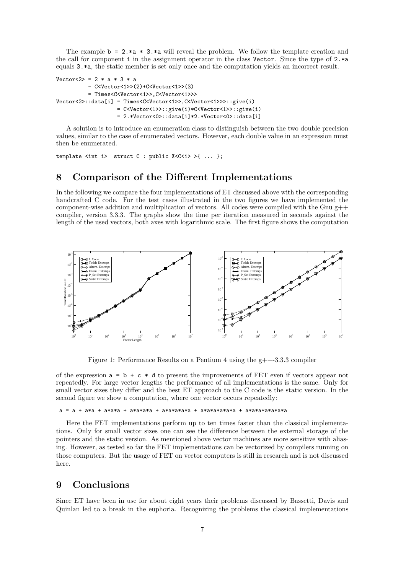The example  $\mathbf{b} = 2 \cdot \mathbf{a} * 3 \cdot \mathbf{a}$  will reveal the problem. We follow the template creation and the call for component i in the assignment operator in the class Vector. Since the type of  $2.*a$ equals 3.\*a, the static member is set only once and the computation yields an incorrect result.

```
Vector < 2 = 2 * a * 3 * a
          = C<Vector<1>>(2)*C<Vector<1>>(3)
          = Times<C<Vector<1>>,C<Vector<1>>>
Vector<2>::data[i] = Times<C<Vector<1>>,C<Vector<1>>>::give(i)
                   = C<Vector<1>>::give(i)*C<Vector<1>>::give(i)
                   = 2.*Vector<0>::data[i]*2.*Vector<0>::data[i]
```
A solution is to introduce an enumeration class to distinguish between the two double precision values, similar to the case of enumerated vectors. However, each double value in an expression must then be enumerated.

template <int i> struct C : public X<C<i>>>
{\dotsqrt{...};

# 8 Comparison of the Different Implementations

In the following we compare the four implementations of ET discussed above with the corresponding handcrafted C code. For the test cases illustrated in the two figures we have implemented the component-wise addition and multiplication of vectors. All codes were compiled with the Gnu  $g++$ compiler, version 3.3.3. The graphs show the time per iteration measured in seconds against the length of the used vectors, both axes with logarithmic scale. The first figure shows the computation



Figure 1: Performance Results on a Pentium 4 using the  $g$ ++ $-3.3.3$  compiler

of the expression  $a = b + c * d$  to present the improvements of FET even if vectors appear not repeatedly. For large vector lengths the performance of all implementations is the same. Only for small vector sizes they differ and the best ET approach to the C code is the static version. In the second figure we show a computation, where one vector occurs repeatedly:

#### a = a + a\*a + a\*a\*a + a\*a\*a\*a + a\*a\*a\*a\*a + a\*a\*a\*a\*a\*a + a\*a\*a\*a\*a\*a\*a

Here the FET implementations perform up to ten times faster than the classical implementations. Only for small vector sizes one can see the difference between the external storage of the pointers and the static version. As mentioned above vector machines are more sensitive with aliasing. However, as tested so far the FET implementations can be vectorized by compilers running on those computers. But the usage of FET on vector computers is still in research and is not discussed here.

# 9 Conclusions

Since ET have been in use for about eight years their problems discussed by Bassetti, Davis and Quinlan led to a break in the euphoria. Recognizing the problems the classical implementations